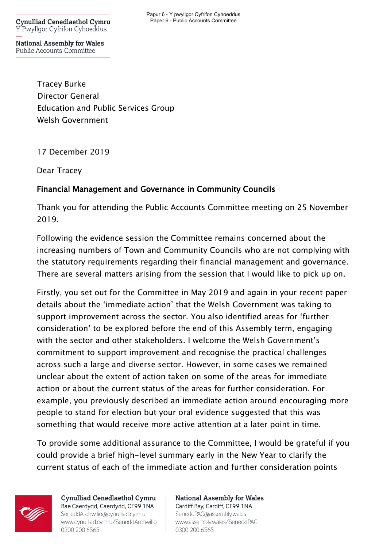**Cynulliad Cenedlaethol Cymru** Y Pwyllgor Cyfrifon Cyhoeddus

**National Assembly for Wales** Public Accounts Committee

> Tracey Burke Director General Education and Public Services Group Welsh Government

17 December 2019

Dear Tracey

## Financial Management and Governance in Community Councils

Thank you for attending the Public Accounts Committee meeting on 25 November 2019.

Following the evidence session the Committee remains concerned about the increasing numbers of Town and Community Councils who are not complying with the statutory requirements regarding their financial management and governance. There are several matters arising from the session that I would like to pick up on.

Firstly, you set out for the Committee in May 2019 and again in your recent paper details about the 'immediate action' that the Welsh Government was taking to support improvement across the sector. You also identified areas for 'further consideration' to be explored before the end of this Assembly term, engaging with the sector and other stakeholders. I welcome the Welsh Government's commitment to support improvement and recognise the practical challenges across such a large and diverse sector. However, in some cases we remained unclear about the extent of action taken on some of the areas for immediate action or about the current status of the areas for further consideration. For example, you previously described an immediate action around encouraging more people to stand for election but your oral evidence suggested that this was something that would receive more active attention at a later point in time.

To provide some additional assurance to the Committee, I would be grateful if you could provide a brief high-level summary early in the New Year to clarify the current status of each of the immediate action and further consideration points



**Cynulliad Cenedlaethol Cymru** Bae Caerdydd, Caerdydd, CF99 1NA SeneddArchwilio@cynulliad.cymru www.cynulliad.cymru/SeneddArchwilio 0300 200 6565

**National Assembly for Wales** Cardiff Bay, Cardiff, CF99 1NA SeneddPAC@assembly.wales www.assembly.wales/SeneddPAC 0300 200 6565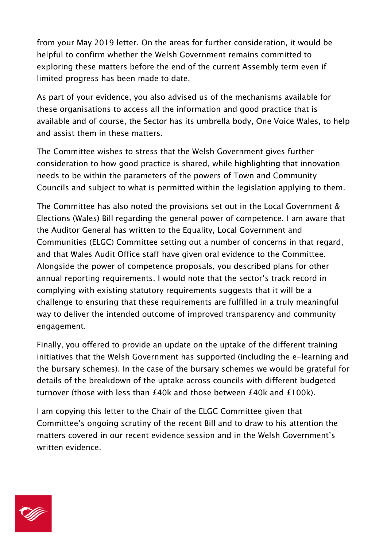from your May 2019 letter. On the areas for further consideration, it would be helpful to confirm whether the Welsh Government remains committed to exploring these matters before the end of the current Assembly term even if limited progress has been made to date.

As part of your evidence, you also advised us of the mechanisms available for these organisations to access all the information and good practice that is available and of course, the Sector has its umbrella body, One Voice Wales, to help and assist them in these matters.

The Committee wishes to stress that the Welsh Government gives further consideration to how good practice is shared, while highlighting that innovation needs to be within the parameters of the powers of Town and Community Councils and subject to what is permitted within the legislation applying to them.

The Committee has also noted the provisions set out in the Local Government & Elections (Wales) Bill regarding the general power of competence. I am aware that the Auditor General has written to the Equality, Local Government and Communities (ELGC) Committee setting out a number of concerns in that regard, and that Wales Audit Office staff have given oral evidence to the Committee. Alongside the power of competence proposals, you described plans for other annual reporting requirements. I would note that the sector's track record in complying with existing statutory requirements suggests that it will be a challenge to ensuring that these requirements are fulfilled in a truly meaningful way to deliver the intended outcome of improved transparency and community engagement.

Finally, you offered to provide an update on the uptake of the different training initiatives that the Welsh Government has supported (including the e-learning and the bursary schemes). In the case of the bursary schemes we would be grateful for details of the breakdown of the uptake across councils with different budgeted turnover (those with less than £40k and those between £40k and £100k).

I am copying this letter to the Chair of the ELGC Committee given that Committee's ongoing scrutiny of the recent Bill and to draw to his attention the matters covered in our recent evidence session and in the Welsh Government's written evidence.